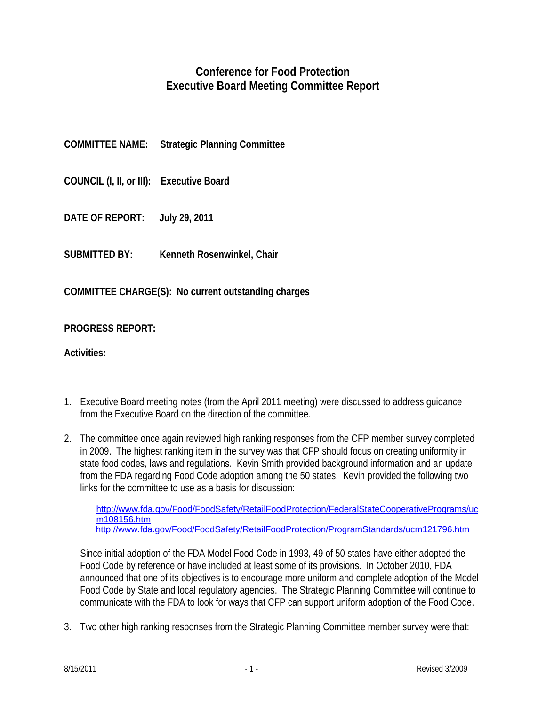## **Conference for Food Protection Executive Board Meeting Committee Report**

| <b>COMMITTEE NAME:</b> | <b>Strategic Planning Committee</b> |
|------------------------|-------------------------------------|
|                        |                                     |

- **COUNCIL (I, II, or III): Executive Board**
- **DATE OF REPORT: July 29, 2011**
- **SUBMITTED BY: Kenneth Rosenwinkel, Chair**

**COMMITTEE CHARGE(S): No current outstanding charges** 

**PROGRESS REPORT:** 

**Activities:** 

- 1. Executive Board meeting notes (from the April 2011 meeting) were discussed to address guidance from the Executive Board on the direction of the committee.
- 2. The committee once again reviewed high ranking responses from the CFP member survey completed in 2009. The highest ranking item in the survey was that CFP should focus on creating uniformity in state food codes, laws and regulations. Kevin Smith provided background information and an update from the FDA regarding Food Code adoption among the 50 states. Kevin provided the following two links for the committee to use as a basis for discussion:

[http://www.fda.gov/Food/FoodSafety/RetailFoodProtection/FederalStateCooperativePrograms/uc](http://www.fda.gov/Food/FoodSafety/RetailFoodProtection/FederalStateCooperativePrograms/ucm108156.htm) [m108156.htm](http://www.fda.gov/Food/FoodSafety/RetailFoodProtection/FederalStateCooperativePrograms/ucm108156.htm) <http://www.fda.gov/Food/FoodSafety/RetailFoodProtection/ProgramStandards/ucm121796.htm>

Since initial adoption of the FDA Model Food Code in 1993, 49 of 50 states have either adopted the Food Code by reference or have included at least some of its provisions. In October 2010, FDA announced that one of its objectives is to encourage more uniform and complete adoption of the Model Food Code by State and local regulatory agencies. The Strategic Planning Committee will continue to communicate with the FDA to look for ways that CFP can support uniform adoption of the Food Code.

3. Two other high ranking responses from the Strategic Planning Committee member survey were that: